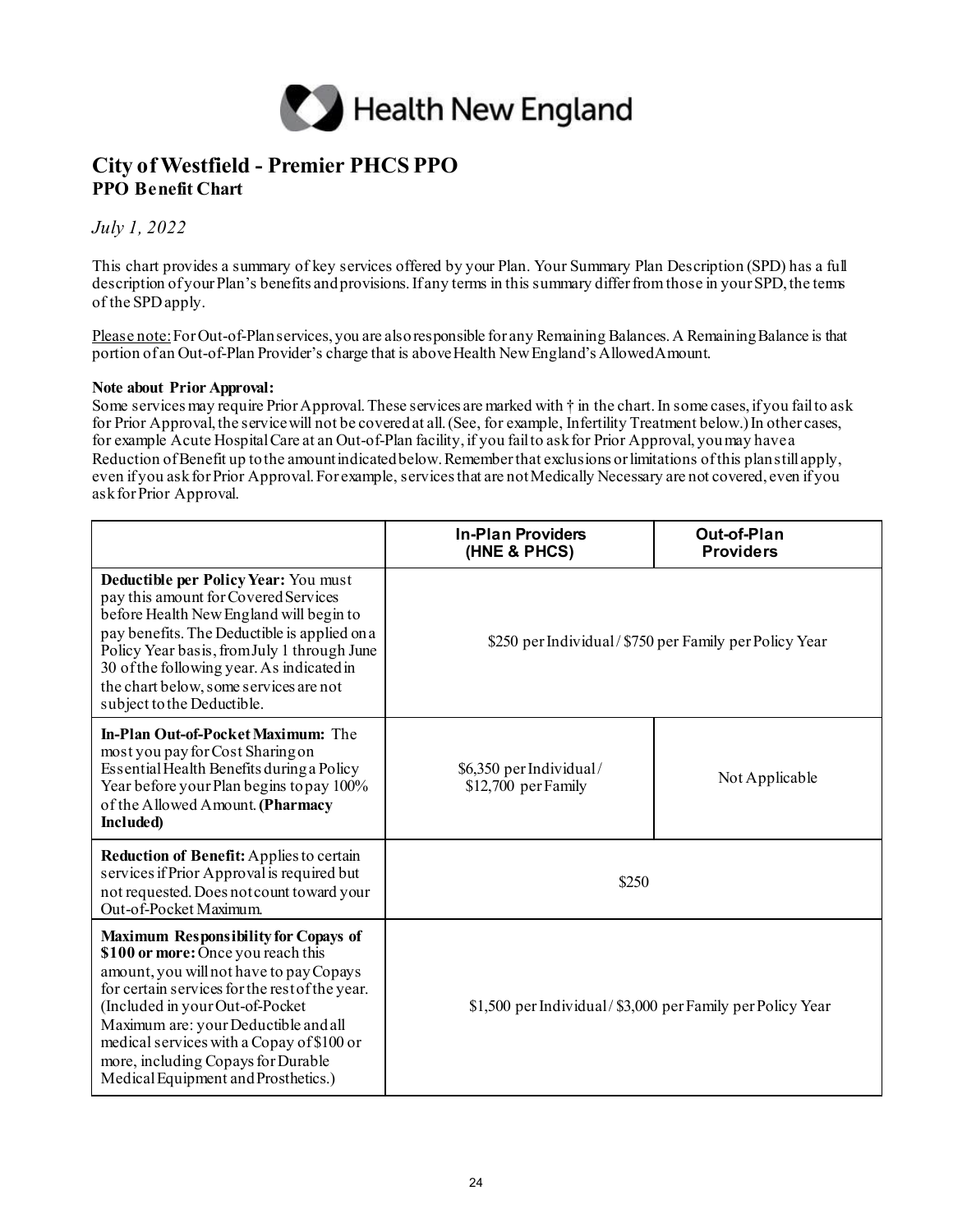

## **City of Westfield - Premier PHCS PPO PPO Benefit Chart**

*July 1, 2022*

This chart provides a summary of key services offered by your Plan. Your Summary Plan Description (SPD) has a full description of your Plan's benefits and provisions. If any terms in this summary differ from those in your SPD, the terms of the SPDapply.

Please note: For Out-of-Plan services, you are also responsible for any Remaining Balances. A Remaining Balance is that portion of an Out-of-Plan Provider's charge that is above Health New England's AllowedAmount.

## **Note about Prior Approval:**

Some services may require Prior Approval. These services are marked with † in the chart. In some cases, if you fail to ask for Prior Approval, the service will not be covered at all. (See, for example, Infertility Treatment below.) In other cases, for example Acute Hospital Care at an Out-of-Plan facility, if you fail to ask for Prior Approval, you may have a Reduction of Benefit up to the amount indicated below. Remember that exclusions or limitations of this plan still apply, even if you ask for Prior Approval. For example, services that are not Medically Necessary are not covered, even if you ask for Prior Approval.

|                                                                                                                                                                                                                                                                                                                                                                                     | <b>In-Plan Providers</b><br>(HNE & PHCS)                  | Out-of-Plan<br><b>Providers</b> |
|-------------------------------------------------------------------------------------------------------------------------------------------------------------------------------------------------------------------------------------------------------------------------------------------------------------------------------------------------------------------------------------|-----------------------------------------------------------|---------------------------------|
| Deductible per Policy Year: You must<br>pay this amount for Covered Services<br>before Health New England will begin to<br>pay benefits. The Deductible is applied on a<br>Policy Year basis, from July 1 through June<br>30 of the following year. As indicated in<br>the chart below, some services are not<br>subject to the Deductible.                                         | \$250 per Individual/\$750 per Family per Policy Year     |                                 |
| <b>In-Plan Out-of-Pocket Maximum:</b> The<br>most you pay for Cost Sharing on<br>Essential Health Benefits during a Policy<br>Year before your Plan begins to pay 100%<br>of the Allowed Amount. (Pharmacy<br>Included)                                                                                                                                                             | \$6,350 per Individual/<br>\$12,700 per Family            | Not Applicable                  |
| <b>Reduction of Benefit: Applies to certain</b><br>services if Prior Approval is required but<br>not requested. Does not count toward your<br>Out-of-Pocket Maximum.                                                                                                                                                                                                                | \$250                                                     |                                 |
| <b>Maximum Responsibility for Copays of</b><br>\$100 or more: Once you reach this<br>amount, you will not have to pay Copays<br>for certain services for the rest of the year.<br>(Included in your Out-of-Pocket<br>Maximum are: your Deductible and all<br>medical services with a Copay of \$100 or<br>more, including Copays for Durable<br>Medical Equipment and Prosthetics.) | \$1,500 per Individual/\$3,000 per Family per Policy Year |                                 |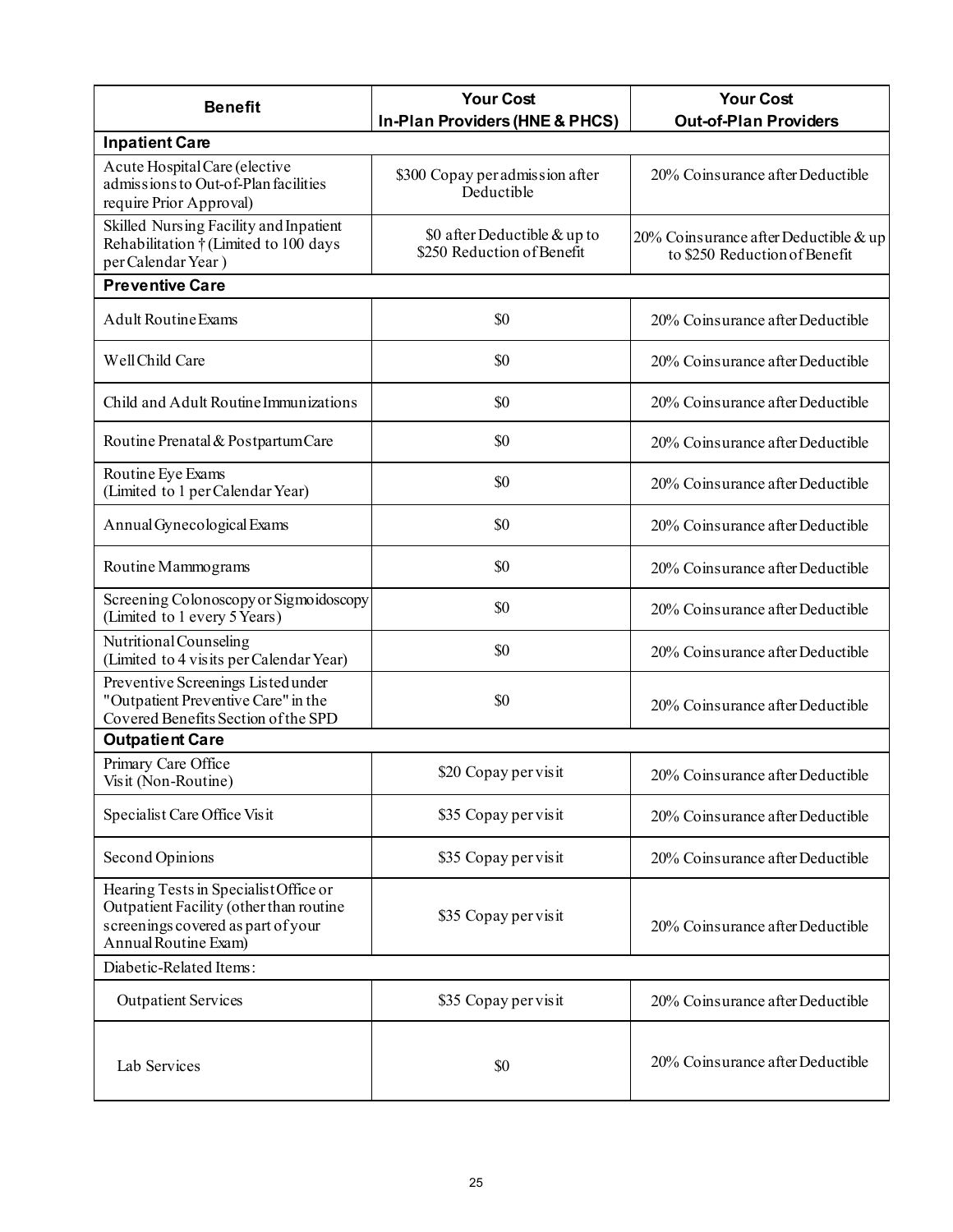| <b>Benefit</b>                                                                                                                                 | <b>Your Cost</b><br>In-Plan Providers (HNE & PHCS)         | <b>Your Cost</b><br><b>Out-of-Plan Providers</b>                       |
|------------------------------------------------------------------------------------------------------------------------------------------------|------------------------------------------------------------|------------------------------------------------------------------------|
| <b>Inpatient Care</b>                                                                                                                          |                                                            |                                                                        |
| Acute Hospital Care (elective<br>admissions to Out-of-Plan facilities<br>require Prior Approval)                                               | \$300 Copay per admission after<br>Deductible              | 20% Coinsurance after Deductible                                       |
| Skilled Nursing Facility and Inpatient<br>Rehabilitation $\dagger$ (Limited to 100 days<br>per Calendar Year)                                  | \$0 after Deductible & up to<br>\$250 Reduction of Benefit | 20% Coinsurance after Deductible & up<br>to \$250 Reduction of Benefit |
| <b>Preventive Care</b>                                                                                                                         |                                                            |                                                                        |
| <b>Adult Routine Exams</b>                                                                                                                     | \$0                                                        | 20% Coinsurance after Deductible                                       |
| Well Child Care                                                                                                                                | \$0                                                        | 20% Coinsurance after Deductible                                       |
| Child and Adult Routine Immunizations                                                                                                          | \$0                                                        | 20% Coinsurance after Deductible                                       |
| Routine Prenatal & Postpartum Care                                                                                                             | \$0                                                        | 20% Coinsurance after Deductible                                       |
| Routine Eye Exams<br>(Limited to 1 per Calendar Year)                                                                                          | \$0                                                        | 20% Coinsurance after Deductible                                       |
| Annual Gynecological Exams                                                                                                                     | \$0                                                        | 20% Coinsurance after Deductible                                       |
| Routine Mammograms                                                                                                                             | \$0                                                        | 20% Coinsurance after Deductible                                       |
| Screening Colonoscopy or Sigmoidoscopy<br>(Limited to 1 every 5 Years)                                                                         | \$0                                                        | 20% Coinsurance after Deductible                                       |
| Nutritional Counseling<br>(Limited to 4 visits per Calendar Year)                                                                              | \$0                                                        | 20% Coinsurance after Deductible                                       |
| Preventive Screenings Listed under<br>"Outpatient Preventive Care" in the<br>Covered Benefits Section of the SPD                               | \$0                                                        | 20% Coinsurance after Deductible                                       |
| <b>Outpatient Care</b>                                                                                                                         |                                                            |                                                                        |
| Primary Care Office<br>Visit (Non-Routine)                                                                                                     | \$20 Copay per visit                                       | 20% Coinsurance after Deductible                                       |
| Specialist Care Office Visit                                                                                                                   | \$35 Copay per visit                                       | 20% Coinsurance after Deductible                                       |
| Second Opinions                                                                                                                                | \$35 Copay per visit                                       | 20% Coinsurance after Deductible                                       |
| Hearing Tests in Specialist Office or<br>Outpatient Facility (other than routine<br>screenings covered as part of your<br>Annual Routine Exam) | \$35 Copay per visit                                       | 20% Coinsurance after Deductible                                       |
| Diabetic-Related Items:                                                                                                                        |                                                            |                                                                        |
| <b>Outpatient Services</b>                                                                                                                     | \$35 Copay per visit                                       | 20% Coinsurance after Deductible                                       |
| Lab Services                                                                                                                                   | \$0                                                        | 20% Coinsurance after Deductible                                       |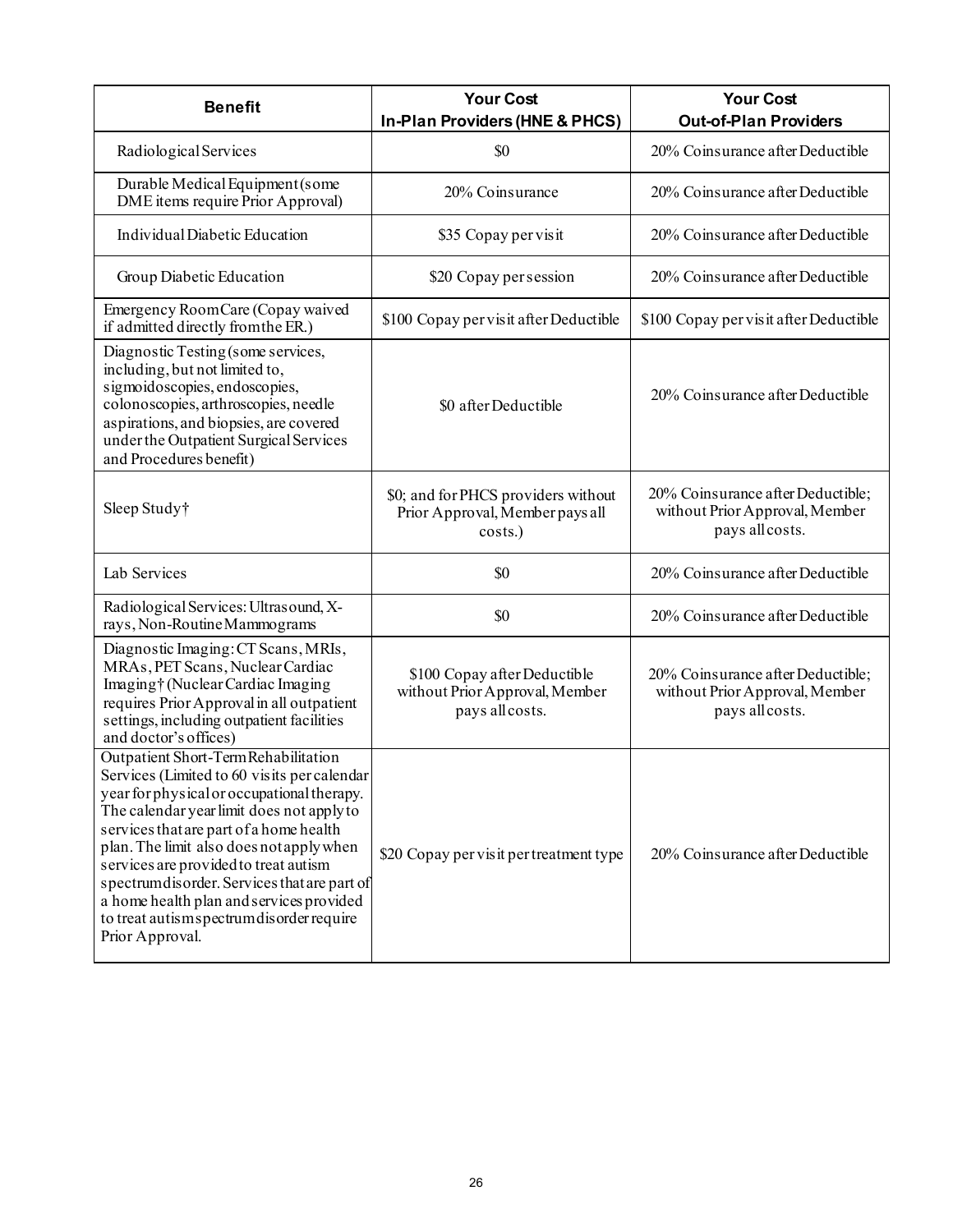| <b>Benefit</b>                                                                                                                                                                                                                                                                                                                                                                                                                                                             | <b>Your Cost</b><br>In-Plan Providers (HNE & PHCS)                                | <b>Your Cost</b><br><b>Out-of-Plan Providers</b>                                       |
|----------------------------------------------------------------------------------------------------------------------------------------------------------------------------------------------------------------------------------------------------------------------------------------------------------------------------------------------------------------------------------------------------------------------------------------------------------------------------|-----------------------------------------------------------------------------------|----------------------------------------------------------------------------------------|
| Radiological Services                                                                                                                                                                                                                                                                                                                                                                                                                                                      | \$0                                                                               | 20% Coinsurance after Deductible                                                       |
| Durable Medical Equipment (some<br>DME items require Prior Approval)                                                                                                                                                                                                                                                                                                                                                                                                       | 20% Coinsurance                                                                   | 20% Coinsurance after Deductible                                                       |
| Individual Diabetic Education                                                                                                                                                                                                                                                                                                                                                                                                                                              | \$35 Copay per visit                                                              | 20% Coinsurance after Deductible                                                       |
| Group Diabetic Education                                                                                                                                                                                                                                                                                                                                                                                                                                                   | \$20 Copay per session                                                            | 20% Coinsurance after Deductible                                                       |
| Emergency RoomCare (Copay waived<br>if admitted directly from the ER.)                                                                                                                                                                                                                                                                                                                                                                                                     | \$100 Copay per visit after Deductible                                            | \$100 Copay per visit after Deductible                                                 |
| Diagnostic Testing (some services,<br>including, but not limited to,<br>sigmoidoscopies, endoscopies,<br>colonoscopies, arthroscopies, needle<br>aspirations, and biopsies, are covered<br>under the Outpatient Surgical Services<br>and Procedures benefit)                                                                                                                                                                                                               | \$0 after Deductible                                                              | 20% Coinsurance after Deductible                                                       |
| Sleep Study†                                                                                                                                                                                                                                                                                                                                                                                                                                                               | \$0; and for PHCS providers without<br>Prior Approval, Member pays all<br>costs.) | 20% Coinsurance after Deductible;<br>without Prior Approval, Member<br>pays all costs. |
| Lab Services                                                                                                                                                                                                                                                                                                                                                                                                                                                               | \$0                                                                               | 20% Coinsurance after Deductible                                                       |
| Radiological Services: Ultrasound, X-<br>rays, Non-Routine Mammograms                                                                                                                                                                                                                                                                                                                                                                                                      | \$0                                                                               | 20% Coinsurance after Deductible                                                       |
| Diagnostic Imaging: CT Scans, MRIs,<br>MRAs, PET Scans, Nuclear Cardiac<br>Imaging†(Nuclear Cardiac Imaging<br>requires Prior Approval in all outpatient<br>settings, including outpatient facilities<br>and doctor's offices)                                                                                                                                                                                                                                             | \$100 Copay after Deductible<br>without Prior Approval, Member<br>pays all costs. | 20% Coinsurance after Deductible;<br>without Prior Approval, Member<br>pays all costs. |
| Outpatient Short-Term Rehabilitation<br>Services (Limited to 60 visits per calendar<br>year for physical or occupational therapy.<br>The calendar year limit does not apply to<br>services that are part of a home health<br>plan. The limit also does not apply when<br>services are provided to treat autism<br>spectrum disorder. Services that are part of<br>a home health plan and services provided<br>to treat autisms pectrum disorder require<br>Prior Approval. | \$20 Copay per visit per treatment type                                           | 20% Coinsurance after Deductible                                                       |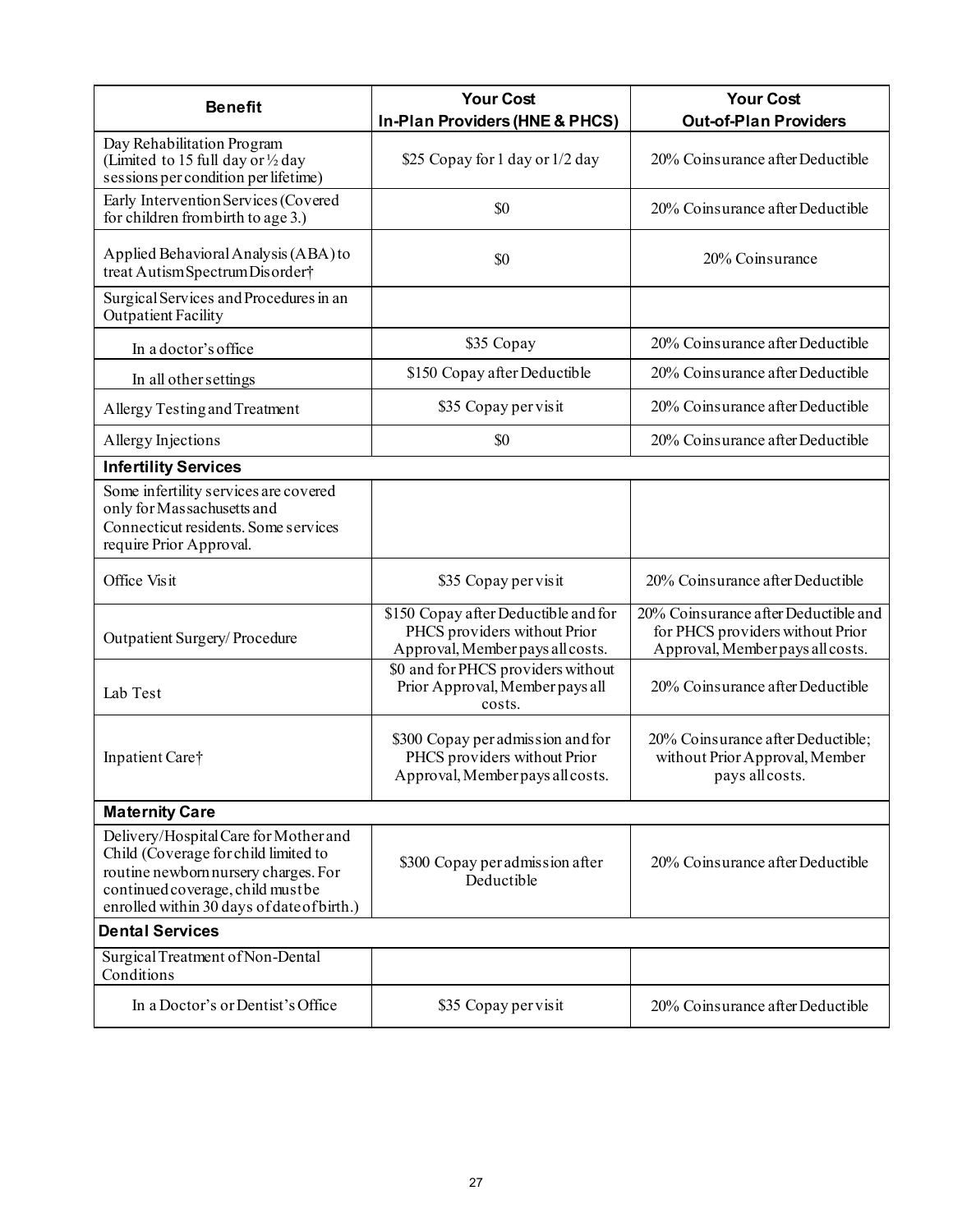| <b>Benefit</b>                                                                                                                                                                                           | <b>Your Cost</b>                                                                                         | <b>Your Cost</b>                                                                                             |
|----------------------------------------------------------------------------------------------------------------------------------------------------------------------------------------------------------|----------------------------------------------------------------------------------------------------------|--------------------------------------------------------------------------------------------------------------|
|                                                                                                                                                                                                          | In-Plan Providers (HNE & PHCS)                                                                           | <b>Out-of-Plan Providers</b>                                                                                 |
| Day Rehabilitation Program<br>(Limited to 15 full day or 1/2 day<br>sessions per condition per lifetime)                                                                                                 | \$25 Copay for 1 day or 1/2 day                                                                          | 20% Coinsurance after Deductible                                                                             |
| Early Intervention Services (Covered<br>for children from birth to age 3.)                                                                                                                               | \$0                                                                                                      | 20% Coinsurance after Deductible                                                                             |
| Applied Behavioral Analysis (ABA) to<br>treat Autism Spectrum Disorder†                                                                                                                                  | \$0                                                                                                      | 20% Coinsurance                                                                                              |
| Surgical Services and Procedures in an<br><b>Outpatient Facility</b>                                                                                                                                     |                                                                                                          |                                                                                                              |
| In a doctor's office                                                                                                                                                                                     | \$35 Copay                                                                                               | 20% Coinsurance after Deductible                                                                             |
| In all other settings                                                                                                                                                                                    | \$150 Copay after Deductible                                                                             | 20% Coinsurance after Deductible                                                                             |
| Allergy Testing and Treatment                                                                                                                                                                            | \$35 Copay per visit                                                                                     | 20% Coinsurance after Deductible                                                                             |
| Allergy Injections                                                                                                                                                                                       | \$0                                                                                                      | 20% Coinsurance after Deductible                                                                             |
| <b>Infertility Services</b>                                                                                                                                                                              |                                                                                                          |                                                                                                              |
| Some infertility services are covered<br>only for Massachusetts and<br>Connecticut residents. Some services<br>require Prior Approval.                                                                   |                                                                                                          |                                                                                                              |
| Office Visit                                                                                                                                                                                             | \$35 Copay per visit                                                                                     | 20% Coinsurance after Deductible                                                                             |
| Outpatient Surgery/Procedure                                                                                                                                                                             | \$150 Copay after Deductible and for<br>PHCS providers without Prior<br>Approval, Member pays all costs. | 20% Coinsurance after Deductible and<br>for PHCS providers without Prior<br>Approval, Member pays all costs. |
| Lab Test                                                                                                                                                                                                 | \$0 and for PHCS providers without<br>Prior Approval, Member pays all<br>costs.                          | 20% Coinsurance after Deductible                                                                             |
| Inpatient Care†                                                                                                                                                                                          | \$300 Copay per admission and for<br>PHCS providers without Prior<br>Approval, Member pays all costs.    | 20% Coinsurance after Deductible;<br>without Prior Approval, Member<br>pays all costs.                       |
| <b>Maternity Care</b>                                                                                                                                                                                    |                                                                                                          |                                                                                                              |
| Delivery/Hospital Care for Mother and<br>Child (Coverage for child limited to<br>routine newborn nursery charges. For<br>continued coverage, child must be<br>enrolled within 30 days of date of birth.) | \$300 Copay per admission after<br>Deductible                                                            | 20% Coinsurance after Deductible                                                                             |
| <b>Dental Services</b>                                                                                                                                                                                   |                                                                                                          |                                                                                                              |
| Surgical Treatment of Non-Dental<br>Conditions                                                                                                                                                           |                                                                                                          |                                                                                                              |
| In a Doctor's or Dentist's Office                                                                                                                                                                        | \$35 Copay per visit                                                                                     | 20% Coinsurance after Deductible                                                                             |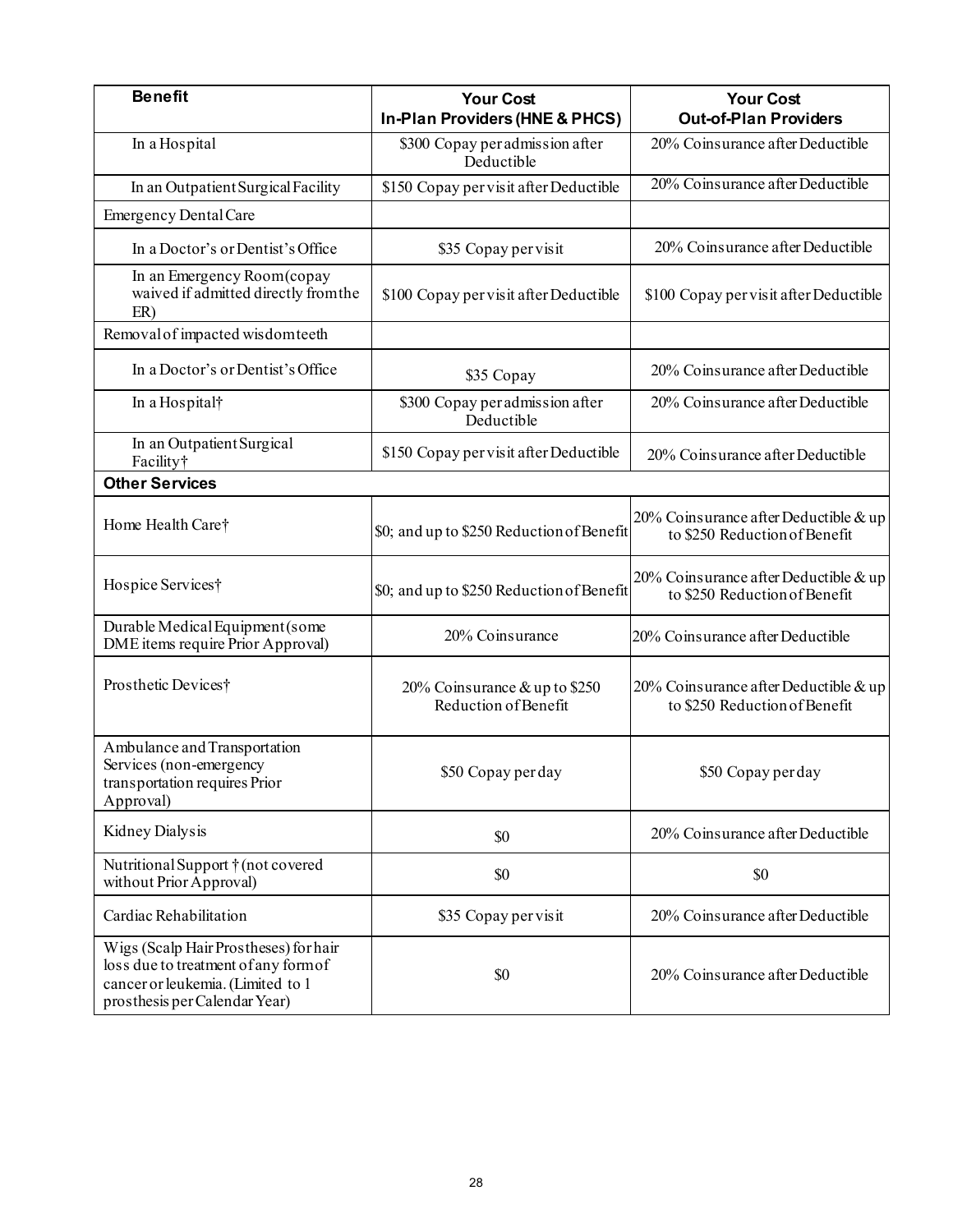| <b>Benefit</b>                                                                                                                                      | <b>Your Cost</b><br>In-Plan Providers (HNE & PHCS)    | <b>Your Cost</b><br><b>Out-of-Plan Providers</b>                       |
|-----------------------------------------------------------------------------------------------------------------------------------------------------|-------------------------------------------------------|------------------------------------------------------------------------|
| In a Hospital                                                                                                                                       | \$300 Copay per admission after<br>Deductible         | 20% Coinsurance after Deductible                                       |
| In an Outpatient Surgical Facility                                                                                                                  | \$150 Copay per visit after Deductible                | 20% Coinsurance after Deductible                                       |
| <b>Emergency Dental Care</b>                                                                                                                        |                                                       |                                                                        |
| In a Doctor's or Dentist's Office                                                                                                                   | \$35 Copay per visit                                  | 20% Coinsurance after Deductible                                       |
| In an Emergency Room(copay<br>waived if admitted directly from the<br>ER)                                                                           | \$100 Copay per visit after Deductible                | \$100 Copay per visit after Deductible                                 |
| Removal of impacted wisdom teeth                                                                                                                    |                                                       |                                                                        |
| In a Doctor's or Dentist's Office                                                                                                                   | \$35 Copay                                            | 20% Coinsurance after Deductible                                       |
| In a Hospital†                                                                                                                                      | \$300 Copay per admission after<br>Deductible         | 20% Coinsurance after Deductible                                       |
| In an Outpatient Surgical<br>Facility†                                                                                                              | \$150 Copay per visit after Deductible                | 20% Coinsurance after Deductible                                       |
| <b>Other Services</b>                                                                                                                               |                                                       |                                                                        |
| Home Health Care†                                                                                                                                   | \$0; and up to \$250 Reduction of Benefit             | 20% Coinsurance after Deductible & up<br>to \$250 Reduction of Benefit |
| Hospice Services†                                                                                                                                   | \$0; and up to \$250 Reduction of Benefit             | 20% Coinsurance after Deductible & up<br>to \$250 Reduction of Benefit |
| Durable Medical Equipment (some<br>DME items require Prior Approval)                                                                                | 20% Coinsurance                                       | 20% Coinsurance after Deductible                                       |
| Prosthetic Devices†                                                                                                                                 | 20% Coinsurance & up to \$250<br>Reduction of Benefit | 20% Coinsurance after Deductible & up<br>to \$250 Reduction of Benefit |
| Ambulance and Transportation<br>Services (non-emergency<br>transportation requires Prior<br>Approval)                                               | \$50 Copay perday                                     | \$50 Copay per day                                                     |
| Kidney Dialysis                                                                                                                                     | \$0                                                   | 20% Coinsurance after Deductible                                       |
| Nutritional Support $\dagger$ (not covered<br>without Prior Approval)                                                                               | \$0                                                   | \$0                                                                    |
| Cardiac Rehabilitation                                                                                                                              | \$35 Copay per visit                                  | 20% Coinsurance after Deductible                                       |
| Wigs (Scalp Hair Prostheses) for hair<br>loss due to treatment of any form of<br>cancer or leukemia. (Limited to 1<br>prosthesis per Calendar Year) | \$0                                                   | 20% Coinsurance after Deductible                                       |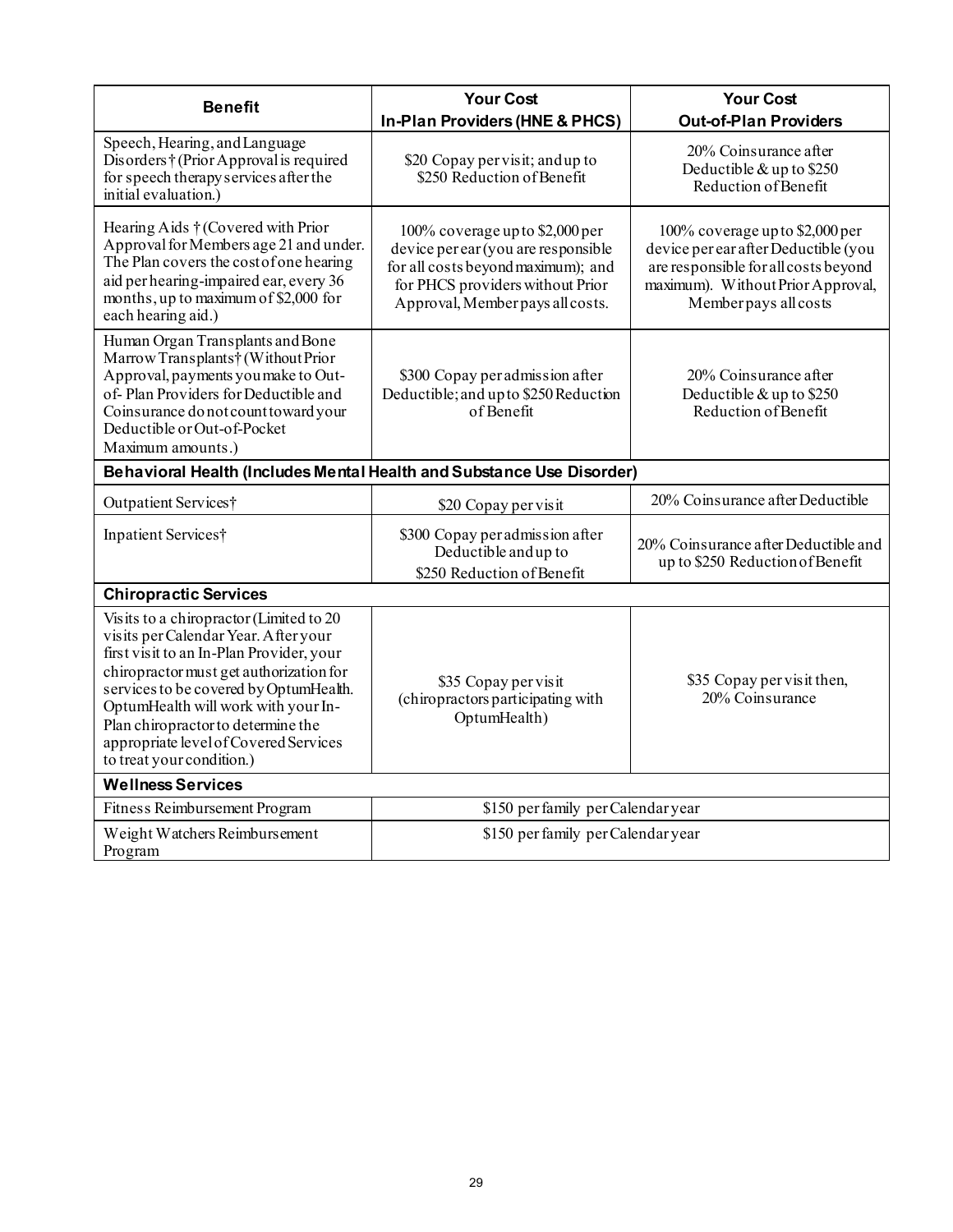| <b>Benefit</b>                                                                                                                                                                                                                                                                                                                                                      | <b>Your Cost</b>                                                                                                                                                                     | <b>Your Cost</b>                                                                                                                                                              |
|---------------------------------------------------------------------------------------------------------------------------------------------------------------------------------------------------------------------------------------------------------------------------------------------------------------------------------------------------------------------|--------------------------------------------------------------------------------------------------------------------------------------------------------------------------------------|-------------------------------------------------------------------------------------------------------------------------------------------------------------------------------|
|                                                                                                                                                                                                                                                                                                                                                                     | In-Plan Providers (HNE & PHCS)                                                                                                                                                       | <b>Out-of-Plan Providers</b>                                                                                                                                                  |
| Speech, Hearing, and Language<br>Disorders†(Prior Approval is required<br>for speech therapy services after the<br>initial evaluation.)                                                                                                                                                                                                                             | \$20 Copay per visit; and up to<br>\$250 Reduction of Benefit                                                                                                                        | 20% Coinsurance after<br>Deductible & up to \$250<br>Reduction of Benefit                                                                                                     |
| Hearing Aids † (Covered with Prior<br>Approval for Members age 21 and under.<br>The Plan covers the cost of one hearing<br>aid per hearing-impaired ear, every 36<br>months, up to maximum of \$2,000 for<br>each hearing aid.)                                                                                                                                     | 100% coverage up to \$2,000 per<br>device per ear (you are responsible<br>for all costs beyond maximum); and<br>for PHCS providers without Prior<br>Approval, Member pays all costs. | 100% coverage up to \$2,000 per<br>device per ear after Deductible (you<br>are responsible for all costs beyond<br>maximum). Without Prior Approval,<br>Member pays all costs |
| Human Organ Transplants and Bone<br>Marrow Transplants† (Without Prior<br>Approval, payments you make to Out-<br>of-Plan Providers for Deductible and<br>Coinsurance do not count toward your<br>Deductible or Out-of-Pocket<br>Maximum amounts.)                                                                                                                   | \$300 Copay per admission after<br>Deductible; and up to \$250 Reduction<br>of Benefit                                                                                               | 20% Coinsurance after<br>Deductible & up to \$250<br>Reduction of Benefit                                                                                                     |
| Behavioral Health (Includes Mental Health and Substance Use Disorder)                                                                                                                                                                                                                                                                                               |                                                                                                                                                                                      |                                                                                                                                                                               |
| Outpatient Services†                                                                                                                                                                                                                                                                                                                                                | \$20 Copay per visit                                                                                                                                                                 | 20% Coinsurance after Deductible                                                                                                                                              |
| Inpatient Services†                                                                                                                                                                                                                                                                                                                                                 | \$300 Copay per admission after<br>Deductible and up to<br>\$250 Reduction of Benefit                                                                                                | 20% Coinsurance after Deductible and<br>up to \$250 Reduction of Benefit                                                                                                      |
| <b>Chiropractic Services</b>                                                                                                                                                                                                                                                                                                                                        |                                                                                                                                                                                      |                                                                                                                                                                               |
| Visits to a chiropractor (Limited to 20<br>visits per Calendar Year. After your<br>first visit to an In-Plan Provider, your<br>chiropractor must get authorization for<br>services to be covered by OptumHealth.<br>OptumHealth will work with your In-<br>Plan chiropractor to determine the<br>appropriate level of Covered Services<br>to treat your condition.) | \$35 Copay per visit<br>(chiropractors participating with<br>OptumHealth)                                                                                                            | \$35 Copay per visit then,<br>20% Coinsurance                                                                                                                                 |
| <b>Wellness Services</b>                                                                                                                                                                                                                                                                                                                                            |                                                                                                                                                                                      |                                                                                                                                                                               |
| Fitness Reimbursement Program                                                                                                                                                                                                                                                                                                                                       | \$150 per family per Calendar year                                                                                                                                                   |                                                                                                                                                                               |
| Weight Watchers Reimburs ement<br>Program                                                                                                                                                                                                                                                                                                                           | \$150 per family per Calendar year                                                                                                                                                   |                                                                                                                                                                               |